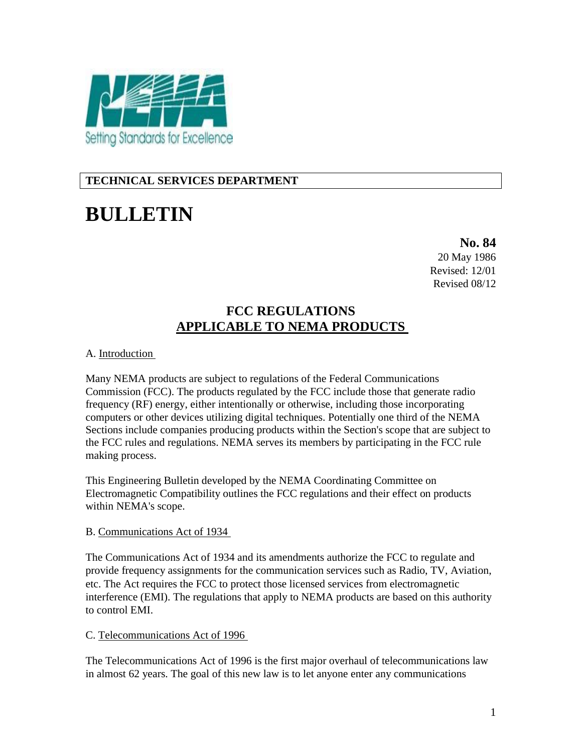

# **TECHNICAL SERVICES DEPARTMENT**

# **BULLETIN**

**No. 84** 20 May 1986 Revised: 12/01 Revised 08/12

# **FCC REGULATIONS APPLICABLE TO NEMA PRODUCTS**

A. Introduction

Many NEMA products are subject to regulations of the Federal Communications Commission (FCC). The products regulated by the FCC include those that generate radio frequency (RF) energy, either intentionally or otherwise, including those incorporating computers or other devices utilizing digital techniques. Potentially one third of the NEMA Sections include companies producing products within the Section's scope that are subject to the FCC rules and regulations. NEMA serves its members by participating in the FCC rule making process.

This Engineering Bulletin developed by the NEMA Coordinating Committee on Electromagnetic Compatibility outlines the FCC regulations and their effect on products within NEMA's scope.

# B. Communications Act of 1934

The Communications Act of 1934 and its amendments authorize the FCC to regulate and provide frequency assignments for the communication services such as Radio, TV, Aviation, etc. The Act requires the FCC to protect those licensed services from electromagnetic interference (EMI). The regulations that apply to NEMA products are based on this authority to control EMI.

# C. Telecommunications Act of 1996

The Telecommunications Act of 1996 is the first major overhaul of telecommunications law in almost 62 years. The goal of this new law is to let anyone enter any communications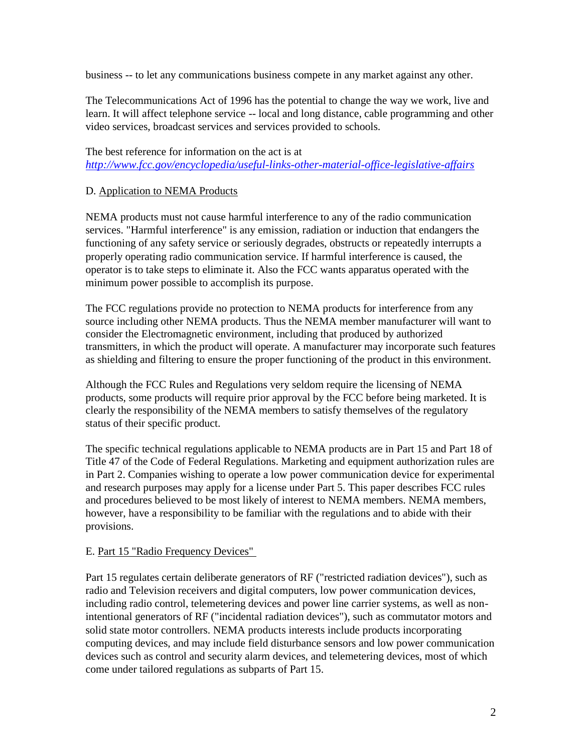business -- to let any communications business compete in any market against any other.

The Telecommunications Act of 1996 has the potential to change the way we work, live and learn. It will affect telephone service -- local and long distance, cable programming and other video services, broadcast services and services provided to schools.

The best reference for information on the act is at *<http://www.fcc.gov/encyclopedia/useful-links-other-material-office-legislative-affairs>*

# D. Application to NEMA Products

NEMA products must not cause harmful interference to any of the radio communication services. "Harmful interference" is any emission, radiation or induction that endangers the functioning of any safety service or seriously degrades, obstructs or repeatedly interrupts a properly operating radio communication service. If harmful interference is caused, the operator is to take steps to eliminate it. Also the FCC wants apparatus operated with the minimum power possible to accomplish its purpose.

The FCC regulations provide no protection to NEMA products for interference from any source including other NEMA products. Thus the NEMA member manufacturer will want to consider the Electromagnetic environment, including that produced by authorized transmitters, in which the product will operate. A manufacturer may incorporate such features as shielding and filtering to ensure the proper functioning of the product in this environment.

Although the FCC Rules and Regulations very seldom require the licensing of NEMA products, some products will require prior approval by the FCC before being marketed. It is clearly the responsibility of the NEMA members to satisfy themselves of the regulatory status of their specific product.

The specific technical regulations applicable to NEMA products are in Part 15 and Part 18 of Title 47 of the Code of Federal Regulations. Marketing and equipment authorization rules are in Part 2. Companies wishing to operate a low power communication device for experimental and research purposes may apply for a license under Part 5. This paper describes FCC rules and procedures believed to be most likely of interest to NEMA members. NEMA members, however, have a responsibility to be familiar with the regulations and to abide with their provisions.

# E. Part 15 "Radio Frequency Devices"

Part 15 regulates certain deliberate generators of RF ("restricted radiation devices"), such as radio and Television receivers and digital computers, low power communication devices, including radio control, telemetering devices and power line carrier systems, as well as nonintentional generators of RF ("incidental radiation devices"), such as commutator motors and solid state motor controllers. NEMA products interests include products incorporating computing devices, and may include field disturbance sensors and low power communication devices such as control and security alarm devices, and telemetering devices, most of which come under tailored regulations as subparts of Part 15.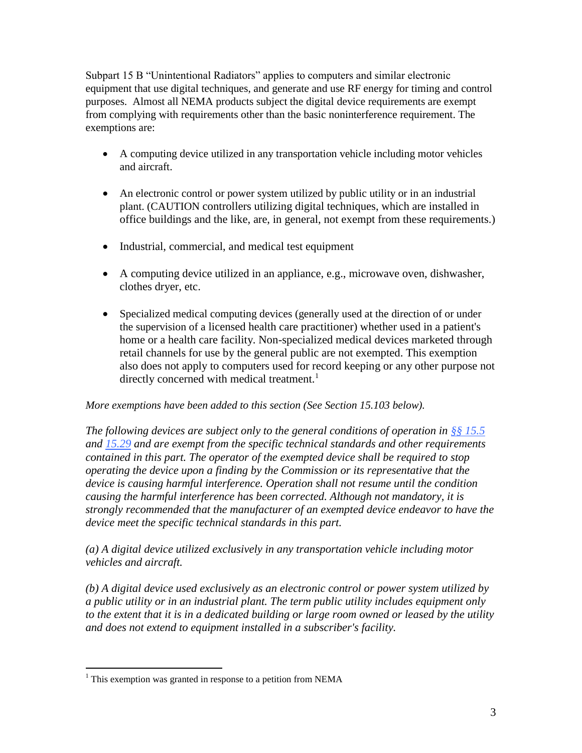Subpart 15 B "Unintentional Radiators" applies to computers and similar electronic equipment that use digital techniques, and generate and use RF energy for timing and control purposes. Almost all NEMA products subject the digital device requirements are exempt from complying with requirements other than the basic noninterference requirement. The exemptions are:

- A computing device utilized in any transportation vehicle including motor vehicles and aircraft.
- An electronic control or power system utilized by public utility or in an industrial plant. (CAUTION controllers utilizing digital techniques, which are installed in office buildings and the like, are, in general, not exempt from these requirements.)
- Industrial, commercial, and medical test equipment
- A computing device utilized in an appliance, e.g., microwave oven, dishwasher, clothes dryer, etc.
- Specialized medical computing devices (generally used at the direction of or under the supervision of a licensed health care practitioner) whether used in a patient's home or a health care facility. Non-specialized medical devices marketed through retail channels for use by the general public are not exempted. This exemption also does not apply to computers used for record keeping or any other purpose not directly concerned with medical treatment.<sup>1</sup>

# *More exemptions have been added to this section (See Section 15.103 below).*

*The following devices are subject only to the general conditions of operation in [§§ 15.5](http://web2.westlaw.com/find/default.wl?mt=FederalGovernment&db=1000547&rs=WLW12.01&docname=47CFRS15.5&rp=%2ffind%2fdefault.wl&findtype=VP&ordoc=5087870&tc=-1&vr=2.0&fn=_top&sv=Split&tf=-1&pbc=EC151224&utid=1) and [15.29](http://web2.westlaw.com/find/default.wl?mt=FederalGovernment&db=1000547&rs=WLW12.01&docname=47CFRS15.29&rp=%2ffind%2fdefault.wl&findtype=VP&ordoc=5087870&tc=-1&vr=2.0&fn=_top&sv=Split&tf=-1&pbc=EC151224&utid=1) and are exempt from the specific technical standards and other requirements contained in this part. The operator of the exempted device shall be required to stop operating the device upon a finding by the Commission or its representative that the device is causing harmful interference. Operation shall not resume until the condition causing the harmful interference has been corrected. Although not mandatory, it is strongly recommended that the manufacturer of an exempted device endeavor to have the device meet the specific technical standards in this part.*

*(a) A digital device utilized exclusively in any transportation vehicle including motor vehicles and aircraft.*

*(b) A digital device used exclusively as an electronic control or power system utilized by a public utility or in an industrial plant. The term public utility includes equipment only to the extent that it is in a dedicated building or large room owned or leased by the utility and does not extend to equipment installed in a subscriber's facility.*

 $\overline{a}$ 

 $<sup>1</sup>$  This exemption was granted in response to a petition from NEMA</sup>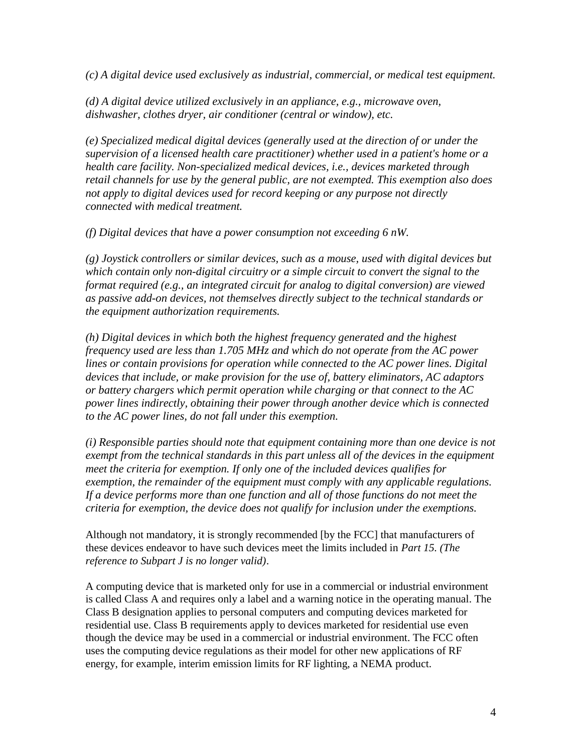*(c) A digital device used exclusively as industrial, commercial, or medical test equipment.*

*(d) A digital device utilized exclusively in an appliance, e.g., microwave oven, dishwasher, clothes dryer, air conditioner (central or window), etc.*

*(e) Specialized medical digital devices (generally used at the direction of or under the supervision of a licensed health care practitioner) whether used in a patient's home or a health care facility. Non-specialized medical devices, i.e., devices marketed through retail channels for use by the general public, are not exempted. This exemption also does not apply to digital devices used for record keeping or any purpose not directly connected with medical treatment.*

*(f) Digital devices that have a power consumption not exceeding 6 nW.*

*(g) Joystick controllers or similar devices, such as a mouse, used with digital devices but which contain only non-digital circuitry or a simple circuit to convert the signal to the format required (e.g., an integrated circuit for analog to digital conversion) are viewed as passive add-on devices, not themselves directly subject to the technical standards or the equipment authorization requirements.*

*(h) Digital devices in which both the highest frequency generated and the highest frequency used are less than 1.705 MHz and which do not operate from the AC power lines or contain provisions for operation while connected to the AC power lines. Digital devices that include, or make provision for the use of, battery eliminators, AC adaptors or battery chargers which permit operation while charging or that connect to the AC power lines indirectly, obtaining their power through another device which is connected to the AC power lines, do not fall under this exemption.*

*(i) Responsible parties should note that equipment containing more than one device is not exempt from the technical standards in this part unless all of the devices in the equipment meet the criteria for exemption. If only one of the included devices qualifies for exemption, the remainder of the equipment must comply with any applicable regulations. If a device performs more than one function and all of those functions do not meet the criteria for exemption, the device does not qualify for inclusion under the exemptions.*

Although not mandatory, it is strongly recommended [by the FCC] that manufacturers of these devices endeavor to have such devices meet the limits included in *Part 15. (The reference to Subpart J is no longer valid)*.

A computing device that is marketed only for use in a commercial or industrial environment is called Class A and requires only a label and a warning notice in the operating manual. The Class B designation applies to personal computers and computing devices marketed for residential use. Class B requirements apply to devices marketed for residential use even though the device may be used in a commercial or industrial environment. The FCC often uses the computing device regulations as their model for other new applications of RF energy, for example, interim emission limits for RF lighting, a NEMA product.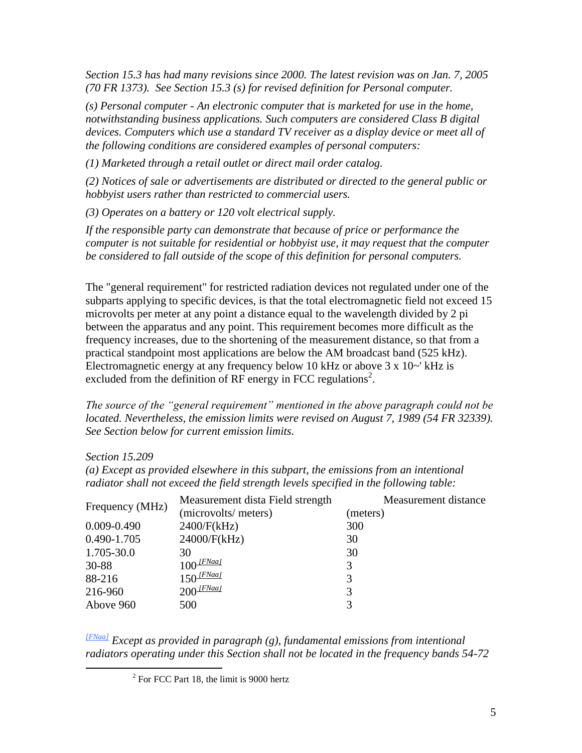*Section 15.3 has had many revisions since 2000. The latest revision was on Jan. 7, 2005 (70 FR 1373). See Section 15.3 (s) for revised definition for Personal computer.*

*(s) Personal computer - An electronic computer that is marketed for use in the home, notwithstanding business applications. Such computers are considered Class B digital devices. Computers which use a standard TV receiver as a display device or meet all of the following conditions are considered examples of personal computers:*

*(1) Marketed through a retail outlet or direct mail order catalog.*

*(2) Notices of sale or advertisements are distributed or directed to the general public or hobbyist users rather than restricted to commercial users.*

*(3) Operates on a battery or 120 volt electrical supply.*

*If the responsible party can demonstrate that because of price or performance the computer is not suitable for residential or hobbyist use, it may request that the computer be considered to fall outside of the scope of this definition for personal computers.*

The "general requirement" for restricted radiation devices not regulated under one of the subparts applying to specific devices, is that the total electromagnetic field not exceed 15 microvolts per meter at any point a distance equal to the wavelength divided by 2 pi between the apparatus and any point. This requirement becomes more difficult as the frequency increases, due to the shortening of the measurement distance, so that from a practical standpoint most applications are below the AM broadcast band (525 kHz). Electromagnetic energy at any frequency below 10 kHz or above 3 x 10~' kHz is excluded from the definition of RF energy in FCC regulations<sup>2</sup>.

*The source of the "general requirement" mentioned in the above paragraph could not be located. Nevertheless, the emission limits were revised on August 7, 1989 (54 FR 32339). See Section below for current emission limits.*

*Section 15.209*

 $\overline{a}$ 

*(a) Except as provided elsewhere in this subpart, the emissions from an intentional radiator shall not exceed the field strength levels specified in the following table:*

| Frequency (MHz) | Measurement dista Field strength | Measurement distance |
|-----------------|----------------------------------|----------------------|
|                 | (microvolts/ meters)             | (meters)             |
| 0.009-0.490     | 2400/F(kHz)                      | 300                  |
| 0.490-1.705     | 24000/F(kHz)                     | 30                   |
| 1.705-30.0      | 30                               | 30                   |
| 30-88           | $100$ [FNaa]                     | 3                    |
| 88-216          | $150$ <sup>[FNaa]</sup>          |                      |
| 216-960         | $200$ <sup>[FNaa]</sup>          |                      |
| Above 960       | 500                              |                      |

*[\[FNaa\]](file:///C:/Users/gettmank/AppData/Local/Microsoft/Windows/Temporary%20Internet%20Files/Content.Outlook/1665F8T4/%09%09%09%09%23%5bFNaa%5d) Except as provided in paragraph (g), fundamental emissions from intentional radiators operating under this Section shall not be located in the frequency bands 54-72* 

 $2^{2}$  For FCC Part 18, the limit is 9000 hertz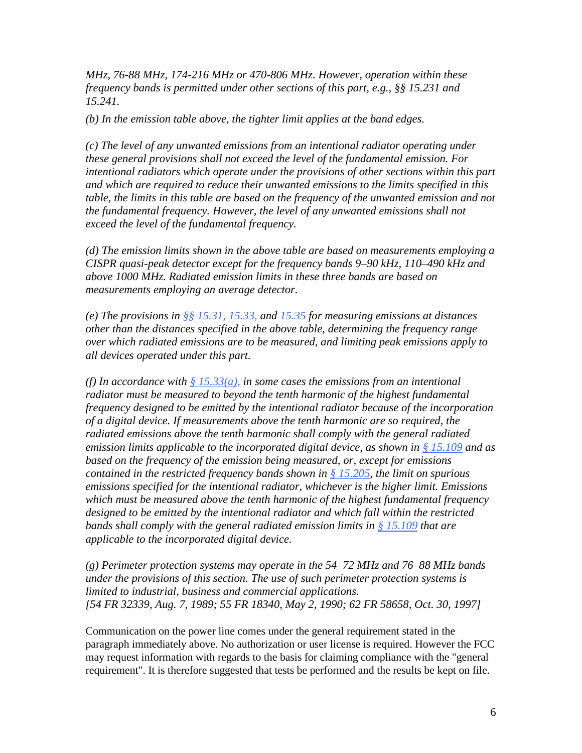*MHz, 76-88 MHz, 174-216 MHz or 470-806 MHz. However, operation within these frequency bands is permitted under other sections of this part, e.g., §§ 15.231 and 15.241.*

*(b) In the emission table above, the tighter limit applies at the band edges.*

*(c) The level of any unwanted emissions from an intentional radiator operating under these general provisions shall not exceed the level of the fundamental emission. For intentional radiators which operate under the provisions of other sections within this part and which are required to reduce their unwanted emissions to the limits specified in this table, the limits in this table are based on the frequency of the unwanted emission and not the fundamental frequency. However, the level of any unwanted emissions shall not exceed the level of the fundamental frequency.*

*(d) The emission limits shown in the above table are based on measurements employing a CISPR quasi-peak detector except for the frequency bands 9–90 kHz, 110–490 kHz and above 1000 MHz. Radiated emission limits in these three bands are based on measurements employing an average detector.*

*(e) The provisions in [§§ 15.31,](http://web2.westlaw.com/find/default.wl?mt=FederalGovernment&db=1000547&rs=WLW12.01&docname=47CFRS15.31&rp=%2ffind%2fdefault.wl&findtype=VP&ordoc=5088045&tc=-1&vr=2.0&fn=_top&sv=Split&tf=-1&pbc=9B2DA4F4&utid=1) [15.33,](http://web2.westlaw.com/find/default.wl?mt=FederalGovernment&db=1000547&rs=WLW12.01&docname=47CFRS15.33&rp=%2ffind%2fdefault.wl&findtype=VP&ordoc=5088045&tc=-1&vr=2.0&fn=_top&sv=Split&tf=-1&pbc=9B2DA4F4&utid=1) and [15.35](http://web2.westlaw.com/find/default.wl?mt=FederalGovernment&db=1000547&rs=WLW12.01&docname=47CFRS15.35&rp=%2ffind%2fdefault.wl&findtype=VP&ordoc=5088045&tc=-1&vr=2.0&fn=_top&sv=Split&tf=-1&pbc=9B2DA4F4&utid=1) for measuring emissions at distances other than the distances specified in the above table, determining the frequency range over which radiated emissions are to be measured, and limiting peak emissions apply to all devices operated under this part.*

*(f) In accordance with [§ 15.33\(a\),](http://web2.westlaw.com/find/default.wl?mt=FederalGovernment&db=1000547&rs=WLW12.01&docname=47CFRS15.33&rp=%2ffind%2fdefault.wl&findtype=L&ordoc=5088045&tc=-1&vr=2.0&fn=_top&sv=Split&tf=-1&referencepositiontype=T&pbc=9B2DA4F4&referenceposition=SP%3b8b3b0000958a4&utid=1) in some cases the emissions from an intentional radiator must be measured to beyond the tenth harmonic of the highest fundamental frequency designed to be emitted by the intentional radiator because of the incorporation of a digital device. If measurements above the tenth harmonic are so required, the radiated emissions above the tenth harmonic shall comply with the general radiated emission limits applicable to the incorporated digital device, as shown in [§ 15.109](http://web2.westlaw.com/find/default.wl?mt=FederalGovernment&db=1000547&rs=WLW12.01&docname=47CFRS15.109&rp=%2ffind%2fdefault.wl&findtype=VP&ordoc=5088045&tc=-1&vr=2.0&fn=_top&sv=Split&tf=-1&pbc=9B2DA4F4&utid=1) and as based on the frequency of the emission being measured, or, except for emissions contained in the restricted frequency bands shown in [§ 15.205,](http://web2.westlaw.com/find/default.wl?mt=FederalGovernment&db=1000547&rs=WLW12.01&docname=47CFRS15.205&rp=%2ffind%2fdefault.wl&findtype=VP&ordoc=5088045&tc=-1&vr=2.0&fn=_top&sv=Split&tf=-1&pbc=9B2DA4F4&utid=1) the limit on spurious emissions specified for the intentional radiator, whichever is the higher limit. Emissions which must be measured above the tenth harmonic of the highest fundamental frequency designed to be emitted by the intentional radiator and which fall within the restricted bands shall comply with the general radiated emission limits in [§ 15.109](http://web2.westlaw.com/find/default.wl?mt=FederalGovernment&db=1000547&rs=WLW12.01&docname=47CFRS15.109&rp=%2ffind%2fdefault.wl&findtype=VP&ordoc=5088045&tc=-1&vr=2.0&fn=_top&sv=Split&tf=-1&pbc=9B2DA4F4&utid=1) that are applicable to the incorporated digital device.*

*(g) Perimeter protection systems may operate in the 54–72 MHz and 76–88 MHz bands under the provisions of this section. The use of such perimeter protection systems is limited to industrial, business and commercial applications. [54 FR 32339, Aug. 7, 1989; 55 FR 18340, May 2, 1990; 62 FR 58658, Oct. 30, 1997]*

Communication on the power line comes under the general requirement stated in the paragraph immediately above. No authorization or user license is required. However the FCC may request information with regards to the basis for claiming compliance with the "general requirement". It is therefore suggested that tests be performed and the results be kept on file.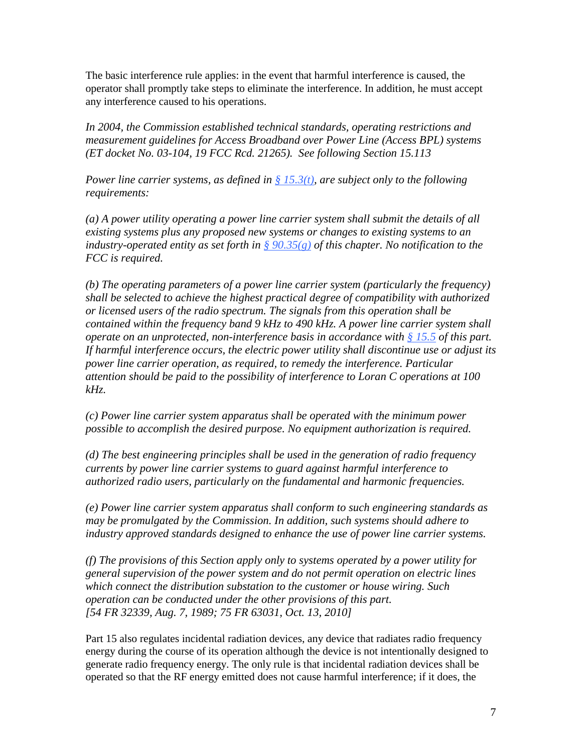The basic interference rule applies: in the event that harmful interference is caused, the operator shall promptly take steps to eliminate the interference. In addition, he must accept any interference caused to his operations.

*In 2004, the Commission established technical standards, operating restrictions and measurement guidelines for Access Broadband over Power Line (Access BPL) systems (ET docket No. 03-104, 19 FCC Rcd. 21265). See following Section 15.113*

*Power line carrier systems, as defined in [§ 15.3\(t\),](http://web2.westlaw.com/find/default.wl?mt=FederalGovernment&db=1000547&rs=WLW12.01&docname=47CFRS15.3&rp=%2ffind%2fdefault.wl&findtype=L&ordoc=5087900&tc=-1&vr=2.0&fn=_top&sv=Split&tf=-1&referencepositiontype=T&pbc=3462D097&referenceposition=SP%3b3a8700004efc7&utid=1) are subject only to the following requirements:*

*(a) A power utility operating a power line carrier system shall submit the details of all existing systems plus any proposed new systems or changes to existing systems to an industry-operated entity as set forth in [§ 90.35\(g\)](http://web2.westlaw.com/find/default.wl?mt=FederalGovernment&db=1000547&rs=WLW12.01&docname=47CFRS90.35&rp=%2ffind%2fdefault.wl&findtype=L&ordoc=5087900&tc=-1&vr=2.0&fn=_top&sv=Split&tf=-1&referencepositiontype=T&pbc=3462D097&referenceposition=SP%3b16f4000091d86&utid=1) of this chapter. No notification to the FCC is required.*

*(b) The operating parameters of a power line carrier system (particularly the frequency) shall be selected to achieve the highest practical degree of compatibility with authorized or licensed users of the radio spectrum. The signals from this operation shall be contained within the frequency band 9 kHz to 490 kHz. A power line carrier system shall operate on an unprotected, non-interference basis in accordance with [§ 15.5](http://web2.westlaw.com/find/default.wl?mt=FederalGovernment&db=1000547&rs=WLW12.01&docname=47CFRS15.5&rp=%2ffind%2fdefault.wl&findtype=VP&ordoc=5087900&tc=-1&vr=2.0&fn=_top&sv=Split&tf=-1&pbc=3462D097&utid=1) of this part. If harmful interference occurs, the electric power utility shall discontinue use or adjust its power line carrier operation, as required, to remedy the interference. Particular attention should be paid to the possibility of interference to Loran C operations at 100 kHz.*

*(c) Power line carrier system apparatus shall be operated with the minimum power possible to accomplish the desired purpose. No equipment authorization is required.*

*(d) The best engineering principles shall be used in the generation of radio frequency currents by power line carrier systems to guard against harmful interference to authorized radio users, particularly on the fundamental and harmonic frequencies.*

*(e) Power line carrier system apparatus shall conform to such engineering standards as may be promulgated by the Commission. In addition, such systems should adhere to industry approved standards designed to enhance the use of power line carrier systems.*

*(f) The provisions of this Section apply only to systems operated by a power utility for general supervision of the power system and do not permit operation on electric lines which connect the distribution substation to the customer or house wiring. Such operation can be conducted under the other provisions of this part. [54 FR 32339, Aug. 7, 1989; 75 FR 63031, Oct. 13, 2010]*

Part 15 also regulates incidental radiation devices, any device that radiates radio frequency energy during the course of its operation although the device is not intentionally designed to generate radio frequency energy. The only rule is that incidental radiation devices shall be operated so that the RF energy emitted does not cause harmful interference; if it does, the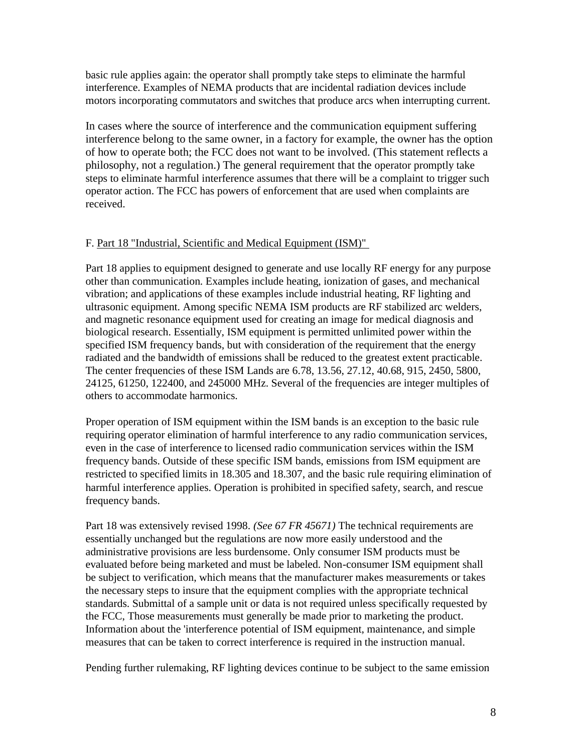basic rule applies again: the operator shall promptly take steps to eliminate the harmful interference. Examples of NEMA products that are incidental radiation devices include motors incorporating commutators and switches that produce arcs when interrupting current.

In cases where the source of interference and the communication equipment suffering interference belong to the same owner, in a factory for example, the owner has the option of how to operate both; the FCC does not want to be involved. (This statement reflects a philosophy, not a regulation.) The general requirement that the operator promptly take steps to eliminate harmful interference assumes that there will be a complaint to trigger such operator action. The FCC has powers of enforcement that are used when complaints are received.

# F. Part 18 "Industrial, Scientific and Medical Equipment (ISM)"

Part 18 applies to equipment designed to generate and use locally RF energy for any purpose other than communication. Examples include heating, ionization of gases, and mechanical vibration; and applications of these examples include industrial heating, RF lighting and ultrasonic equipment. Among specific NEMA ISM products are RF stabilized arc welders, and magnetic resonance equipment used for creating an image for medical diagnosis and biological research. Essentially, ISM equipment is permitted unlimited power within the specified ISM frequency bands, but with consideration of the requirement that the energy radiated and the bandwidth of emissions shall be reduced to the greatest extent practicable. The center frequencies of these ISM Lands are 6.78, 13.56, 27.12, 40.68, 915, 2450, 5800, 24125, 61250, 122400, and 245000 MHz. Several of the frequencies are integer multiples of others to accommodate harmonics.

Proper operation of ISM equipment within the ISM bands is an exception to the basic rule requiring operator elimination of harmful interference to any radio communication services, even in the case of interference to licensed radio communication services within the ISM frequency bands. Outside of these specific ISM bands, emissions from ISM equipment are restricted to specified limits in 18.305 and 18.307, and the basic rule requiring elimination of harmful interference applies. Operation is prohibited in specified safety, search, and rescue frequency bands.

Part 18 was extensively revised 1998. *(See 67 FR 45671)* The technical requirements are essentially unchanged but the regulations are now more easily understood and the administrative provisions are less burdensome. Only consumer ISM products must be evaluated before being marketed and must be labeled. Non-consumer ISM equipment shall be subject to verification, which means that the manufacturer makes measurements or takes the necessary steps to insure that the equipment complies with the appropriate technical standards. Submittal of a sample unit or data is not required unless specifically requested by the FCC, Those measurements must generally be made prior to marketing the product. Information about the 'interference potential of ISM equipment, maintenance, and simple measures that can be taken to correct interference is required in the instruction manual.

Pending further rulemaking, RF lighting devices continue to be subject to the same emission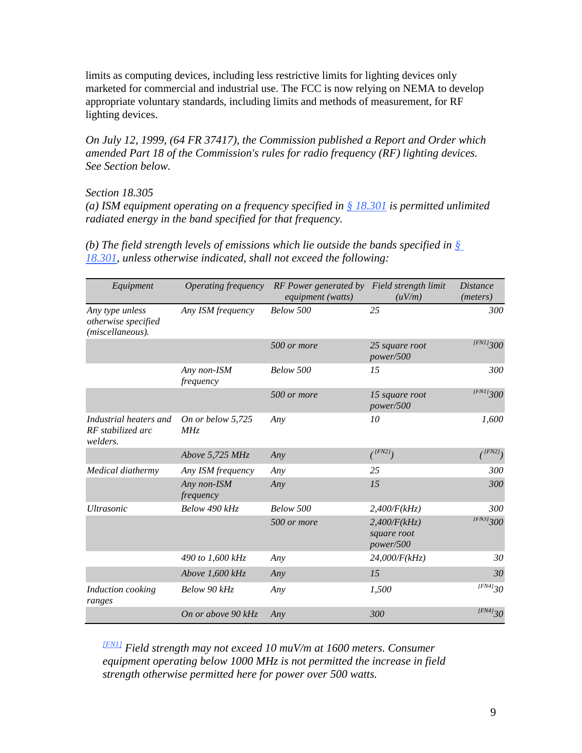limits as computing devices, including less restrictive limits for lighting devices only marketed for commercial and industrial use. The FCC is now relying on NEMA to develop appropriate voluntary standards, including limits and methods of measurement, for RF lighting devices.

*On July 12, 1999, (64 FR 37417), the Commission published a Report and Order which amended Part 18 of the Commission's rules for radio frequency (RF) lighting devices. See Section below.*

*Section 18.305*

*(a) ISM equipment operating on a frequency specified in [§ 18.301](http://web2.westlaw.com/find/default.wl?mt=FederalGovernment&db=1000547&rs=WLW12.01&docname=47CFRS18.301&rp=%2ffind%2fdefault.wl&findtype=VP&ordoc=5088480&tc=-1&vr=2.0&fn=_top&sv=Split&tf=-1&pbc=6F8BCF47&utid=1) is permitted unlimited radiated energy in the band specified for that frequency.*

*(b) The field strength levels of emissions which lie outside the bands specified in [§](http://web2.westlaw.com/find/default.wl?mt=FederalGovernment&db=1000547&rs=WLW12.01&docname=47CFRS18.301&rp=%2ffind%2fdefault.wl&findtype=VP&ordoc=5088480&tc=-1&vr=2.0&fn=_top&sv=Split&tf=-1&pbc=6F8BCF47&utid=1)  [18.301,](http://web2.westlaw.com/find/default.wl?mt=FederalGovernment&db=1000547&rs=WLW12.01&docname=47CFRS18.301&rp=%2ffind%2fdefault.wl&findtype=VP&ordoc=5088480&tc=-1&vr=2.0&fn=_top&sv=Split&tf=-1&pbc=6F8BCF47&utid=1) unless otherwise indicated, shall not exceed the following:*

| Equipment                                                  | Operating frequency      | RF Power generated by Field strength limit<br>equipment (watts) | (uV/m)                                   | <i>Distance</i><br>( <i>meters</i> ) |
|------------------------------------------------------------|--------------------------|-----------------------------------------------------------------|------------------------------------------|--------------------------------------|
| Any type unless<br>otherwise specified<br>(miscellaneous). | Any ISM frequency        | Below 500                                                       | 25                                       | 300                                  |
|                                                            |                          | 500 or more                                                     | 25 square root<br>power/500              | $^{[FN1]}300$                        |
|                                                            | Any non-ISM<br>frequency | Below 500                                                       | 15                                       | 300                                  |
|                                                            |                          | 500 or more                                                     | 15 square root<br>power/500              | $^{[FN1]}300$                        |
| Industrial heaters and<br>RF stabilized arc<br>welders.    | On or below 5,725<br>MHz | Any                                                             | 10                                       | 1,600                                |
|                                                            | Above 5,725 MHz          | Any                                                             | $($ <sup>[FN2]</sup> )                   | $($ <sup>[FN2]</sup> )               |
| Medical diathermy                                          | Any ISM frequency        | Any                                                             | 25                                       | 300                                  |
|                                                            | Any non-ISM<br>frequency | Any                                                             | 15                                       | 300                                  |
| <b>Ultrasonic</b>                                          | Below 490 kHz            | Below 500                                                       | 2,400/F(kHz)                             | 300                                  |
|                                                            |                          | 500 or more                                                     | 2,400/F(kHz)<br>square root<br>power/500 | $1$ <i>FN31</i> 300                  |
|                                                            | 490 to 1,600 kHz         | Any                                                             | 24,000/F(kHz)                            | 30                                   |
|                                                            | Above 1,600 kHz          | Any                                                             | 15                                       | 30                                   |
| Induction cooking<br>ranges                                | Below 90 kHz             | Any                                                             | 1,500                                    | $F^{N4}30$                           |
|                                                            | On or above 90 kHz       | Any                                                             | 300                                      | $1$ FN4 $1$ 30                       |

<span id="page-8-0"></span>*[\[FN1\]](#page-8-0) Field strength may not exceed 10 muV/m at 1600 meters. Consumer equipment operating below 1000 MHz is not permitted the increase in field strength otherwise permitted here for power over 500 watts.*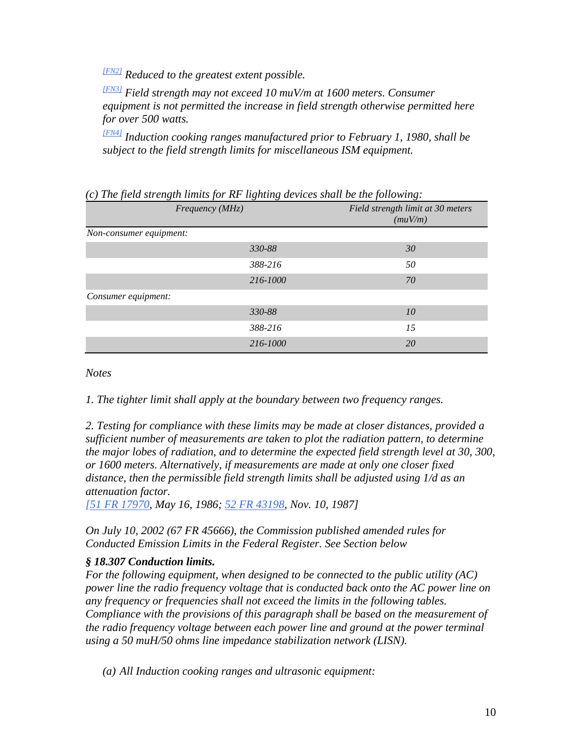<span id="page-9-0"></span>*[\[FN2\]](#page-9-0) Reduced to the greatest extent possible.*

<span id="page-9-1"></span>*[\[FN3\]](#page-9-1) Field strength may not exceed 10 muV/m at 1600 meters. Consumer equipment is not permitted the increase in field strength otherwise permitted here for over 500 watts.*

<span id="page-9-2"></span>*[\[FN4\]](#page-9-2) Induction cooking ranges manufactured prior to February 1, 1980, shall be subject to the field strength limits for miscellaneous ISM equipment.*

| Frequency (MHz)         |          | Field strength limit at 30 meters<br>(muV/m) |
|-------------------------|----------|----------------------------------------------|
| Non-consumer equipment: |          |                                              |
|                         | 330-88   | 30                                           |
|                         | 388-216  | 50                                           |
|                         | 216-1000 | 70                                           |
| Consumer equipment:     |          |                                              |
|                         | 330-88   | 10                                           |
|                         | 388-216  | 15                                           |
|                         | 216-1000 | 20                                           |

*(c) The field strength limits for RF lighting devices shall be the following:*

*Notes* 

*1. The tighter limit shall apply at the boundary between two frequency ranges.* 

*2. Testing for compliance with these limits may be made at closer distances, provided a sufficient number of measurements are taken to plot the radiation pattern, to determine the major lobes of radiation, and to determine the expected field strength level at 30, 300, or 1600 meters. Alternatively, if measurements are made at only one closer fixed distance, then the permissible field strength limits shall be adjusted using 1/d as an attenuation factor.* 

*[\[51 FR 17970,](http://web2.westlaw.com/find/default.wl?mt=FederalGovernment&db=184736&rs=WLW12.01&postype=P&docname=UUID(I05FA45B036-5C11DAAECA8-D28B8108CB8)&rp=%2ffind%2fdefault.wl&findtype=l&ordoc=5088480&aqt=cr_47CFRS18.305&tc=-1&vr=2.0&fn=_top&sv=Split&tf=-1&pbc=6F8BCF47&utid=1) May 16, 1986; [52 FR 43198,](http://web2.westlaw.com/find/default.wl?mt=FederalGovernment&db=184736&rs=WLW12.01&postype=P&docname=UUID(IC258A8C036-1E11DA815BD-679F0D6A697)&rp=%2ffind%2fdefault.wl&findtype=l&ordoc=5088480&aqt=cr_47CFRS18.305&tc=-1&vr=2.0&fn=_top&sv=Split&tf=-1&pbc=6F8BCF47&utid=1) Nov. 10, 1987]*

*On July 10, 2002 (67 FR 45666), the Commission published amended rules for Conducted Emission Limits in the Federal Register. See Section below*

# *§ 18.307 Conduction limits.*

*For the following equipment, when designed to be connected to the public utility (AC) power line the radio frequency voltage that is conducted back onto the AC power line on any frequency or frequencies shall not exceed the limits in the following tables. Compliance with the provisions of this paragraph shall be based on the measurement of the radio frequency voltage between each power line and ground at the power terminal using a 50 muH/50 ohms line impedance stabilization network (LISN).*

*(a) All Induction cooking ranges and ultrasonic equipment:*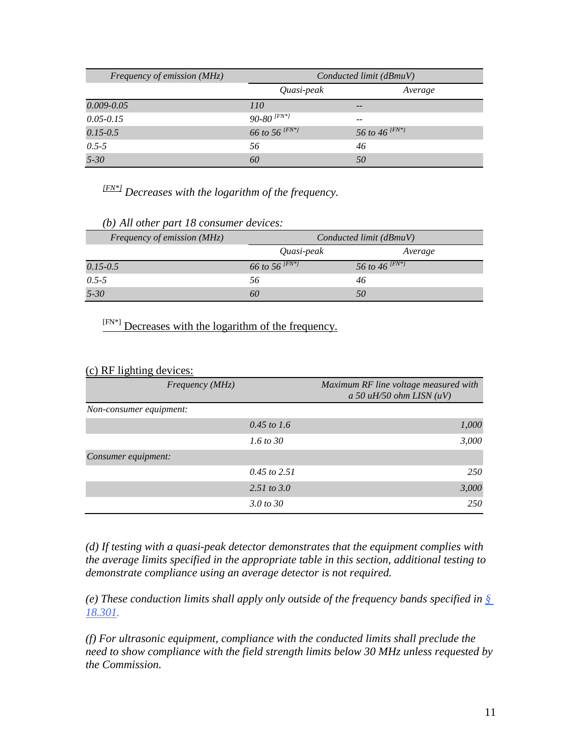| Frequency of emission $(MHz)$ | Conducted limit (dBmuV) |                     |
|-------------------------------|-------------------------|---------------------|
|                               | Quasi-peak              | Average             |
| $0.009 - 0.05$                | <i>110</i>              | $- -$               |
| $0.05 - 0.15$                 | 90-80 $^{[FN*]}$        | $- -$               |
| $0.15 - 0.5$                  | 66 to 56 [FN*]          | 56 to 46 $^{[FN*]}$ |
| $0.5 - 5$                     | 56                      | 46                  |
| $5 - 30$                      | 60                      | 50                  |

*[\[FN\\*\]](file:///C:/Users/gettmank/AppData/Local/Microsoft/Windows/Temporary%20Internet%20Files/Content.Outlook/1665F8T4/%09%09%09%09%23%5bFN*%5d) Decreases with the logarithm of the frequency.*

| (D) Au other part 18 consumer aevices: |                         |                     |
|----------------------------------------|-------------------------|---------------------|
| Frequency of emission $(MHz)$          | Conducted limit (dBmuV) |                     |
|                                        | Quasi-peak              | Average             |
| $0.15 - 0.5$                           | 66 to 56 $^{[FN*]}$     | 56 to 46 $^{[FN*]}$ |
| $0.5 - 5$                              | 56                      | 46                  |
| $5 - 30$                               | 60                      | 50                  |

 $(h)$  *All other part*  $18$  *consumer de* 

<span id="page-10-0"></span> $[FN^*]$  Decreases with the logarithm of the frequency.

#### (c) RF lighting devices:

| Frequency(MHz)          | Maximum RF line voltage measured with<br>a 50 uH/50 ohm LISN (uV) |
|-------------------------|-------------------------------------------------------------------|
| Non-consumer equipment: |                                                                   |
| 0.45 to 1.6             | 1,000                                                             |
| 1.6 to 30               | 3,000                                                             |
| Consumer equipment:     |                                                                   |
| $0.45$ to $2.51$        | 250                                                               |
| 2.51 to $3.0$           | 3,000                                                             |
| 3.0 to 30               | 250                                                               |

*(d) If testing with a quasi-peak detector demonstrates that the equipment complies with the average limits specified in the appropriate table in this section, additional testing to demonstrate compliance using an average detector is not required.*

*(e) These conduction limits shall apply only outside of the frequency bands specified in [§](http://web2.westlaw.com/find/default.wl?mt=FederalGovernment&db=1000547&rs=WLW12.01&docname=47CFRS18.301&rp=%2ffind%2fdefault.wl&findtype=VP&ordoc=10954552&tc=-1&vr=2.0&fn=_top&sv=Split&tf=-1&pbc=AC4253DF&utid=1)  [18.301.](http://web2.westlaw.com/find/default.wl?mt=FederalGovernment&db=1000547&rs=WLW12.01&docname=47CFRS18.301&rp=%2ffind%2fdefault.wl&findtype=VP&ordoc=10954552&tc=-1&vr=2.0&fn=_top&sv=Split&tf=-1&pbc=AC4253DF&utid=1)*

*(f) For ultrasonic equipment, compliance with the conducted limits shall preclude the need to show compliance with the field strength limits below 30 MHz unless requested by the Commission.*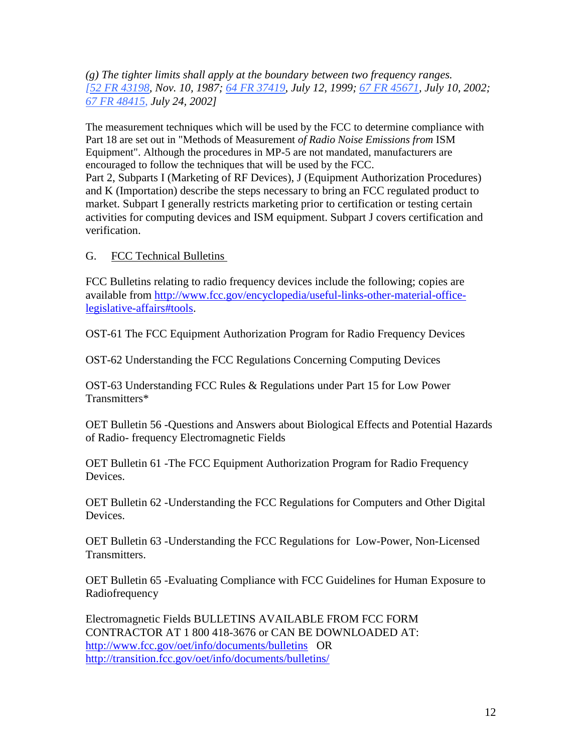*(g) The tighter limits shall apply at the boundary between two frequency ranges. [\[52 FR 43198,](http://web2.westlaw.com/find/default.wl?mt=FederalGovernment&db=184736&rs=WLW12.01&postype=P&docname=UUID(IC258A8C036-1E11DA815BD-679F0D6A697)&rp=%2ffind%2fdefault.wl&findtype=l&ordoc=10954552&aqt=cr_47CFRS18.307&tc=-1&vr=2.0&fn=_top&sv=Split&tf=-1&pbc=AC4253DF&utid=1) Nov. 10, 1987; [64 FR 37419,](http://web2.westlaw.com/find/default.wl?mt=FederalGovernment&db=184736&rs=WLW12.01&postype=P&docname=UUID(IEB20747031-4811DA815BD-679F0D6A697)&rp=%2ffind%2fdefault.wl&findtype=l&ordoc=10954552&aqt=cr_47CFRS18.307&tc=-1&vr=2.0&fn=_top&sv=Split&tf=-1&pbc=AC4253DF&utid=1) July 12, 1999; [67 FR 45671,](http://web2.westlaw.com/find/default.wl?mt=FederalGovernment&db=184736&rs=WLW12.01&postype=P&docname=UUID(ID42810C034-0411DA8794A-B47DD0CABB0)&rp=%2ffind%2fdefault.wl&findtype=l&ordoc=10954552&aqt=cr_47CFRS18.307&tc=-1&vr=2.0&fn=_top&sv=Split&tf=-1&pbc=AC4253DF&utid=1) July 10, 2002; [67 FR 48415,](http://web2.westlaw.com/find/default.wl?mt=FederalGovernment&db=0001037&rs=WLW12.01&docname=67FR48415&rp=%2ffind%2fdefault.wl&findtype=Y&ordoc=10954552&tc=-1&vr=2.0&fn=_top&sv=Split&tf=-1&pbc=AC4253DF&utid=1) July 24, 2002]*

The measurement techniques which will be used by the FCC to determine compliance with Part 18 are set out in "Methods of Measurement *of Radio Noise Emissions from* ISM Equipment". Although the procedures in MP-5 are not mandated, manufacturers are encouraged to follow the techniques that will be used by the FCC.

Part 2, Subparts I (Marketing of RF Devices), J (Equipment Authorization Procedures) and K (Importation) describe the steps necessary to bring an FCC regulated product to market. Subpart I generally restricts marketing prior to certification or testing certain activities for computing devices and ISM equipment. Subpart J covers certification and verification.

G. FCC Technical Bulletins

FCC Bulletins relating to radio frequency devices include the following; copies are available from [http://www.fcc.gov/encyclopedia/useful-links-other-material-office](http://www.fcc.gov/encyclopedia/useful-links-other-material-office-legislative-affairs#tools)[legislative-affairs#tools.](http://www.fcc.gov/encyclopedia/useful-links-other-material-office-legislative-affairs#tools)

OST-61 The FCC Equipment Authorization Program for Radio Frequency Devices

OST-62 Understanding the FCC Regulations Concerning Computing Devices

OST-63 Understanding FCC Rules & Regulations under Part 15 for Low Power Transmitters\*

OET Bulletin 56 -Questions and Answers about Biological Effects and Potential Hazards of Radio- frequency Electromagnetic Fields

OET Bulletin 61 -The FCC Equipment Authorization Program for Radio Frequency Devices.

OET Bulletin 62 -Understanding the FCC Regulations for Computers and Other Digital Devices.

OET Bulletin 63 -Understanding the FCC Regulations for Low-Power, Non-Licensed Transmitters.

OET Bulletin 65 -Evaluating Compliance with FCC Guidelines for Human Exposure to Radiofrequency

Electromagnetic Fields BULLETINS AVAILABLE FROM FCC FORM CONTRACTOR AT 1 800 418-3676 or CAN BE DOWNLOADED AT: <http://www.fcc.gov/oet/info/documents/bulletins>OR <http://transition.fcc.gov/oet/info/documents/bulletins/>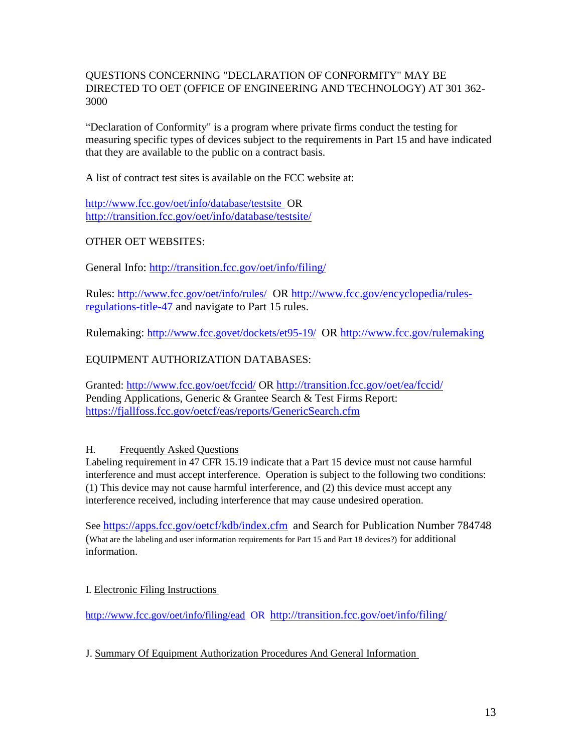# QUESTIONS CONCERNING "DECLARATION OF CONFORMITY" MAY BE DIRECTED TO OET (OFFICE OF ENGINEERING AND TECHNOLOGY) AT 301 362- 3000

"Declaration of Conformity" is a program where private firms conduct the testing for measuring specific types of devices subject to the requirements in Part 15 and have indicated that they are available to the public on a contract basis.

A list of contract test sites is available on the FCC website at:

<http://www.fcc.gov/oet/info/database/testsite> OR <http://transition.fcc.gov/oet/info/database/testsite/>

# OTHER OET WEBSITES:

General Info:<http://transition.fcc.gov/oet/info/filing/>

Rules: <http://www.fcc.gov/oet/info/rules/> OR [http://www.fcc.gov/encyclopedia/rules](http://www.fcc.gov/encyclopedia/rules-regulations-title-47)[regulations-title-47](http://www.fcc.gov/encyclopedia/rules-regulations-title-47) and navigate to Part 15 rules.

Rulemaking: <http://www.fcc.govet/dockets/et95-19/> OR<http://www.fcc.gov/rulemaking>

# EQUIPMENT AUTHORIZATION DATABASES:

Granted: <http://www.fcc.gov/oet/fccid/> OR <http://transition.fcc.gov/oet/ea/fccid/> Pending Applications, Generic & Grantee Search & Test Firms Report: <https://fjallfoss.fcc.gov/oetcf/eas/reports/GenericSearch.cfm>

# H. Frequently Asked Questions

Labeling requirement in 47 CFR 15.19 indicate that a Part 15 device must not cause harmful interference and must accept interference. Operation is subject to the following two conditions: (1) This device may not cause harmful interference, and (2) this device must accept any interference received, including interference that may cause undesired operation.

See <https://apps.fcc.gov/oetcf/kdb/index.cfm> and Search for Publication Number 784748 (What are the labeling and user information requirements for Part 15 and Part 18 devices?) for additional information.

I. Electronic Filing Instructions

<http://www.fcc.gov/oet/info/filing/ead>OR <http://transition.fcc.gov/oet/info/filing/>

J. Summary Of Equipment Authorization Procedures And General Information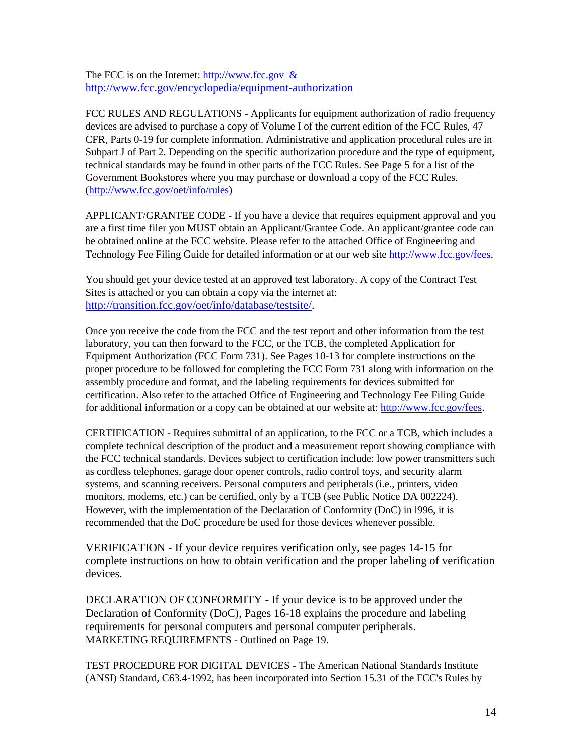The FCC is on the Internet: [http://www.fcc.gov](http://www.fcc.gov/) & <http://www.fcc.gov/encyclopedia/equipment-authorization>

FCC RULES AND REGULATIONS - Applicants for equipment authorization of radio frequency devices are advised to purchase a copy of Volume I of the current edition of the FCC Rules, 47 CFR, Parts 0-19 for complete information. Administrative and application procedural rules are in Subpart J of Part 2. Depending on the specific authorization procedure and the type of equipment, technical standards may be found in other parts of the FCC Rules. See Page 5 for a list of the Government Bookstores where you may purchase or download a copy of the FCC Rules. [\(http://www.fcc.gov/oet/info/rules\)](http://www.fcc.gov/oet/info/rules)

APPLICANT/GRANTEE CODE - If you have a device that requires equipment approval and you are a first time filer you MUST obtain an Applicant/Grantee Code. An applicant/grantee code can be obtained online at the FCC website. Please refer to the attached Office of Engineering and Technology Fee Filing Guide for detailed information or at our web site<http://www.fcc.gov/fees>.

You should get your device tested at an approved test laboratory. A copy of the Contract Test Sites is attached or you can obtain a copy via the internet at: [http://transition.fcc.gov/oet/info/database/testsite/.](http://transition.fcc.gov/oet/info/database/testsite/)

Once you receive the code from the FCC and the test report and other information from the test laboratory, you can then forward to the FCC, or the TCB, the completed Application for Equipment Authorization (FCC Form 731). See Pages 10-13 for complete instructions on the proper procedure to be followed for completing the FCC Form 731 along with information on the assembly procedure and format, and the labeling requirements for devices submitted for certification. Also refer to the attached Office of Engineering and Technology Fee Filing Guide for additional information or a copy can be obtained at our website at:<http://www.fcc.gov/fees>.

CERTIFICATION - Requires submittal of an application, to the FCC or a TCB, which includes a complete technical description of the product and a measurement report showing compliance with the FCC technical standards. Devices subject to certification include: low power transmitters such as cordless telephones, garage door opener controls, radio control toys, and security alarm systems, and scanning receivers. Personal computers and peripherals (i.e., printers, video monitors, modems, etc.) can be certified, only by a TCB (see Public Notice DA 002224). However, with the implementation of the Declaration of Conformity (DoC) in l996, it is recommended that the DoC procedure be used for those devices whenever possible.

VERIFICATION - If your device requires verification only, see pages 14-15 for complete instructions on how to obtain verification and the proper labeling of verification devices.

DECLARATION OF CONFORMITY - If your device is to be approved under the Declaration of Conformity (DoC), Pages 16-18 explains the procedure and labeling requirements for personal computers and personal computer peripherals. MARKETING REQUIREMENTS - Outlined on Page 19.

TEST PROCEDURE FOR DIGITAL DEVICES - The American National Standards Institute (ANSI) Standard, C63.4-1992, has been incorporated into Section 15.31 of the FCC's Rules by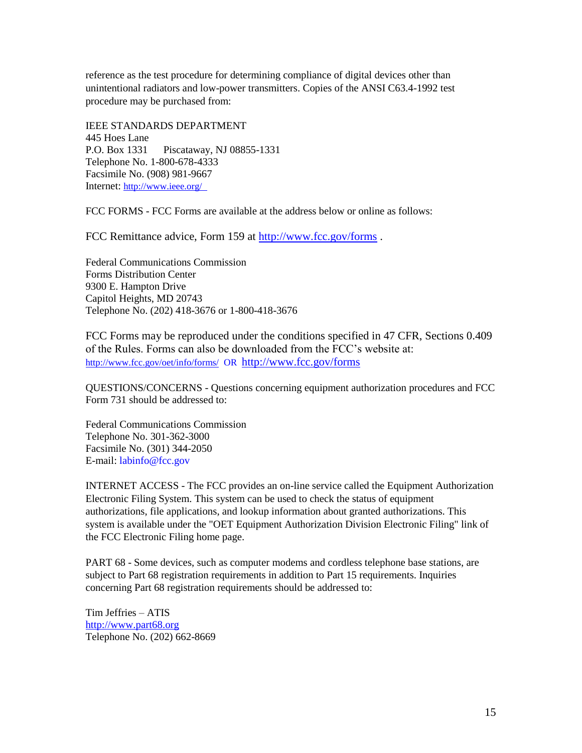reference as the test procedure for determining compliance of digital devices other than unintentional radiators and low-power transmitters. Copies of the ANSI C63.4-1992 test procedure may be purchased from:

IEEE STANDARDS DEPARTMENT 445 Hoes Lane P.O. Box 1331 Piscataway, NJ 08855-1331 Telephone No. 1-800-678-4333 Facsimile No. (908) 981-9667 Internet: http://www.ieee.org/

FCC FORMS - FCC Forms are available at the address below or online as follows:

FCC Remittance advice, Form 159 at<http://www.fcc.gov/forms>.

Federal Communications Commission Forms Distribution Center 9300 E. Hampton Drive Capitol Heights, MD 20743 Telephone No. (202) 418-3676 or 1-800-418-3676

FCC Forms may be reproduced under the conditions specified in 47 CFR, Sections 0.409 of the Rules. Forms can also be downloaded from the FCC's website at: <http://www.fcc.gov/oet/info/forms/>OR <http://www.fcc.gov/forms>

QUESTIONS/CONCERNS - Questions concerning equipment authorization procedures and FCC Form 731 should be addressed to:

Federal Communications Commission Telephone No. 301-362-3000 Facsimile No. (301) 344-2050 E-mail: labinfo@fcc.gov

INTERNET ACCESS - The FCC provides an on-line service called the Equipment Authorization Electronic Filing System. This system can be used to check the status of equipment authorizations, file applications, and lookup information about granted authorizations. This system is available under the "OET Equipment Authorization Division Electronic Filing" link of the FCC Electronic Filing home page.

PART 68 - Some devices, such as computer modems and cordless telephone base stations, are subject to Part 68 registration requirements in addition to Part 15 requirements. Inquiries concerning Part 68 registration requirements should be addressed to:

Tim Jeffries – ATIS [http://www.part68.org](http://www.part68.org/) Telephone No. (202) 662-8669